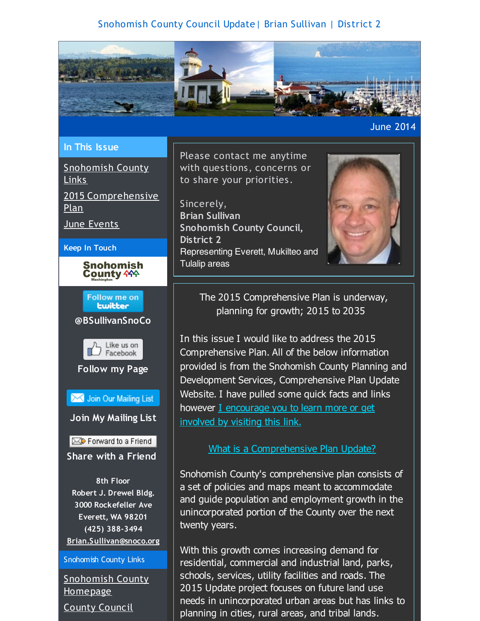# Snohomish County Council Update| Brian Sullivan | District 2

<span id="page-0-0"></span>

June 2014

#### **In This Issue**

[Snohomish](#page-0-0) County Links

2015 [Comprehensive](#page-0-0) Plan

June [Events](#page-0-0)

#### **Keep In Touch**



Follow me on **Lwitter** 







Join Our Mailing List **Join My Mailing List**

Forward to a Friend **Share with a Friend**

**8th Floor Robert J. Drewel Bldg. 3000 Rockefeller Ave Everett, WA 98201 (425) 388-3494 [Brian.Sullivan@snoco.org](mailto:Brian.Sullivan@snoco.org)**

#### Snohomish County Links

[Snohomish](http://r20.rs6.net/tn.jsp?f=001D0-aALKjKK4JY2LW-hphnd7o8aANhOu0C8rgp2sUiBqANePT5mJhIWBgiqyXS65GiBYEAZYLLKNtE7XR2Yj44iwEe6-x2iGnvz0BvY65GbjeVkFGTO4lVd0LnDwqEWRCb7gGJ1jzVAHLqtJ_OHcMqgrXlsKLQByaqix4T_SNjRgV2Ye21Rfn2DY1d6nBD2x20pT5-M1BW0aeoF6aucY56FbE4iRUnDnItrl_hiT1xlDO5wZUyumQk-yaCt1I1Pk3NIzF66WZ2ndtpBtdZq1X4Q==&c=&ch=) County Homepage

County [Council](http://r20.rs6.net/tn.jsp?f=001D0-aALKjKK4JY2LW-hphnd7o8aANhOu0C8rgp2sUiBqANePT5mJhIT_HMpyYz41MAXpegqJb-pTqMR0pLe4Oamc0j9JR_drQOWr7E5Caf_IIKNtpgmhNLWGfVXUB4N2xfetv7nhHEvV2fhQ9h5po2fxk6QhoevE77yVeBuGwjOJaJJGKg425MrjDYXkPgG4WVoxlgN-jfzy60L2WHWF6YBPRg1sp1K0zrnpghmfj2HBjMcfgMOY68ctGo9EvQAcZU40s3DFQYBkLYaAAJos1Oqtm9sT3R9ygBLNulxr45xPKtshaYz6VHCMETLvvFrfT&c=&ch=)

Please contact me anytime with questions, concerns or to share your priorities.

Sincerely, **Brian Sullivan Snohomish County Council, District 2** Representing Everett, Mukilteo and Tulalip areas



The 2015 Comprehensive Plan is underway, planning for growth; 2015 to 2035

In this issue I would like to address the 2015 Comprehensive Plan. All of the below information provided is from the Snohomish County Planning and Development Services, Comprehensive Plan Update Website. I have pulled some quick facts and links however I [encourage](http://r20.rs6.net/tn.jsp?f=001D0-aALKjKK4JY2LW-hphnd7o8aANhOu0C8rgp2sUiBqANePT5mJhIWBgiqyXS65GmKfYQ3gqkils5pc4fue3bXNVtB9vuCLNhGXIZmXyykK4oazAcrbkjJYxUzH6JlIDLkaf2H-NJ0FL25NbmfBGWaL8FXImmY0ZSY9X6K9-02sbM74S0kmCNZA-M-5xbf1PQ7mWPZ-UAPPja2LTPAormlB65dll6rBLTHlu0yPd8nxt1tmjEpv5-suJG_4stDjzxV4-Ev9V0sqeR6isTcbj5A==&c=&ch=) you to learn more or get involved by visiting this link.

#### What is a [Comprehensive](http://r20.rs6.net/tn.jsp?f=001D0-aALKjKK4JY2LW-hphnd7o8aANhOu0C8rgp2sUiBqANePT5mJhIWBgiqyXS65G_d_0Invdt5qwCWGdizjBaVkbZv1z8H7joJ32hszBY9P7NyjaY0UJFzn4yPvETggqRDJpKdgBzgGefN0-xTKoIiS-aqVkxW4WiE6NFvwDjmCiuRGP21_87NVVmySKQhj80CUY_zrNHjg8K9qi_dhTvbL1lbfuz3GWzfcnAz7cRDMdLpLIZLkZDtmJ-SkJLFlq9RPWz1wIOQ6Y1eqE2PGOoFDZoY8NsrpaOAWtGy7O02iDQXVzhFWsdg==&c=&ch=) Plan Update?

Snohomish County's comprehensive plan consists of a set of policies and maps meant to accommodate and guide population and employment growth in the unincorporated portion of the County over the next twenty years.

With this growth comes increasing demand for residential, commercial and industrial land, parks, schools, services, utility facilities and roads. The 2015 Update project focuses on future land use needs in unincorporated urban areas but has links to planning in cities, rural areas, and tribal lands.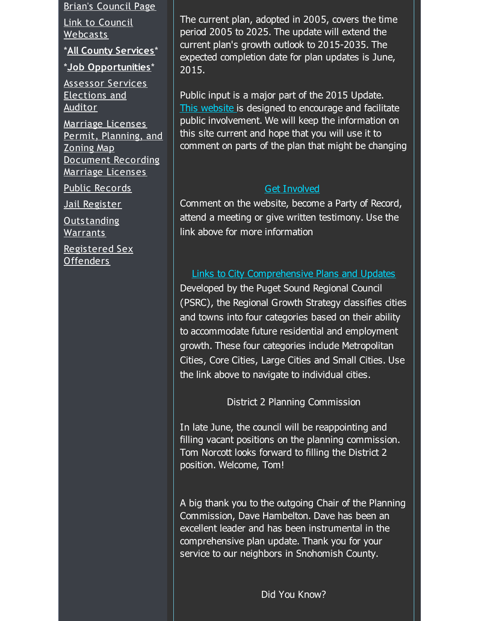Brian's [Council](http://r20.rs6.net/tn.jsp?f=001D0-aALKjKK4JY2LW-hphnd7o8aANhOu0C8rgp2sUiBqANePT5mJhIT_HMpyYz41MT56xJDx6-oAZfR9rn4Fig_9w4AB4AsaVjFvY09r7Vo4EbDrRNQIQZZGvAmKzQ-lf7307JrGGs4urYDkl00Br0uySCypw5usHCELU1Ouxz7g3enl0W7P-obMAUzgz8-U4p5x4mgR-mNheg00nBPXPWMgaAtyt88SBLJUkFD76HPl6ULhMOQME-7MmRVxmhLF_sShBimRLGw2W1FIQ7lnM9xRDZaReK8QnZRhbTat7M_1qRb8t6n2TNA==&c=&ch=) Page

Link to Council [Webcasts](http://r20.rs6.net/tn.jsp?f=001D0-aALKjKK4JY2LW-hphnd7o8aANhOu0C8rgp2sUiBqANePT5mJhIRKiS9BzaoeZZEBeL6s5KPnyRJ4uLub0D-d3k-vgclFgF4pmwVwxuJRKeu0DMD0RQ4yxE7fop_PqIcyM9i1LSBRP123z_QvtYA3WAYP7uJFSWPHoi_riBVJtBxOnBDb9N0-AQhW4PZ9Azk9EqWLQRupM48ZZoMyegaPGIbVqn5MRzyW3o29i7Cjx2ZwIOgpOJU3WQe0qjUyno3tJaRk2f8ZGEO7Jh5jGVjcAkhrIcMNlXIqhEMB2HEwTRN9NQ4iHHEknr0APzc2v_7jg4HvdHMw=&c=&ch=)

\***All County [Services](http://r20.rs6.net/tn.jsp?f=001D0-aALKjKK4JY2LW-hphnd7o8aANhOu0C8rgp2sUiBqANePT5mJhIT_HMpyYz41M7ejmupizQRUKYPjlY-6X6jMgJhKmO-7Q-R1ud_uoj4TLnK-0T0qY4C-RLG0BnMHIOCymw2GLzwUDRZ09S0KsL8futN_-lYw-UJb95r805JxWb3TIkEabyIEpDj0TcZxQK8FsiY23ndJfNHPK8Nf95_r0O44DDIcDvpw5EBqsevdhL0IvQXfbsHWk4dG-zd0C2jOtQZ2hPnYZoTxAwrE-2FNnPNeSrCHHCpkWPJWWjn-64FKuMMLKYQ==&c=&ch=)**\*

\***Job [Opportunities](http://r20.rs6.net/tn.jsp?f=001D0-aALKjKK4JY2LW-hphnd7o8aANhOu0C8rgp2sUiBqANePT5mJhIT_HMpyYz41Mk4fCsPgKkbp-ZaJuJl-Gspr5RhcnBadlTGzIs3lC33A8Q_RK8QyM32QqFpsHrbgAb4QLYCXhQeUM-f0hAn_K_VEBWXOh3SE01BNwwiWAOPi2tlrjc0qU48D81Yrh6KX8-VC94WZ5XGdoS0lExEoUyLjUyLICuEE2KSlVgSRwww3p6kHEvX2aRvmBZy22pKWAigenYTzJ2XqbAUctdfYgkQxQh0ZqHHhhAcancXFfjXTMRTuGI_VRbW537xvCj0vp&c=&ch=)**\*

[Assessor](http://r20.rs6.net/tn.jsp?f=001D0-aALKjKK4JY2LW-hphnd7o8aANhOu0C8rgp2sUiBqANePT5mJhIT_HMpyYz41Mzypop17W3tOUb_sAJuhgJeAi_7w__OE8HqWWH-EROorEeRp0xUFECfHFa9GhzGruXAenrZLP2ccie4zZeVaeeJrzBF80t8zneCEPTkoCVo-13emccYi0fRdkQptW4oz73Bog7FUseR3_nJd8uER0lzDpGoSjZlnXPtbdetFxQtN5gb1R39Tg4nUobQOGKpb0kg4ukhkZIsmHBoACNxTioUxIBxrshO1-8B9Iy0JiREnD0QmAq483kg==&c=&ch=) Services [Elections](http://r20.rs6.net/tn.jsp?f=001D0-aALKjKK4JY2LW-hphnd7o8aANhOu0C8rgp2sUiBqANePT5mJhIT_HMpyYz41M_-WKHKTLkKiq6HCbmLjQi3b4gkPSIWSF5mvuqOesqswZ3ITD4kZ4egQdZ3JzTuv3BJrb6msRfPjaBnkH0DgdRTmPPpaqoowxDS2ibos4d9hMiIn1raFtVIDhaPBWzvkVXpyGtxo61CSXMJWeWaFIM7tjlzG7mRmIxsvLAgfHEpNCwHmTSOHaTIidwLU1_6kSLUGXJAYG0BcFchdIwOTmflZVFO7o0Xr3ysHmt9H4f5QK8G9b9L_A7Q==&c=&ch=) and Auditor

Marriage [Licenses](http://r20.rs6.net/tn.jsp?f=001D0-aALKjKK4JY2LW-hphnd7o8aANhOu0C8rgp2sUiBqANePT5mJhIT_HMpyYz41MOGRhxR6G9fwwW94x5BeHq5NVQ69T4IsNR_v_grgqhmo_jiajexKVBdEMKObFPuE0-XYq7qEbu3JPGQ9YlFqLUSUBUJQ4UGCXYu6KqQXy8-lrFrIUCh-6cAoP5N7Q_JpreeyRtExfEECCqFbhB_eReEZqT_wcBuTeOtLRi0C12IPYmPVZ5LDb4JuODE2Q4gCABgY0z8b9oc6gtsmGvAMlZOkd7N-IaEOYosj2z8wzOk8=&c=&ch=) Permit, [Planning,](http://r20.rs6.net/tn.jsp?f=001D0-aALKjKK4JY2LW-hphnd7o8aANhOu0C8rgp2sUiBqANePT5mJhIUF2qneFilVrVbRLNgR08Czzwu-hdQh_2UUx1cqUwr11q9FuDJwm1KwrK25W5QhQ1IueDRpIHt4GQufU04cJgIaE7WfxCZlEMgSJ4Dih4iEBNrF-LEo8-gGW5Lxwnmc_AI8CIdkHgUyOLoo1r108B8Ca57eIeSB6pdK1LJY9ZdBxXaS4oqOzrgflVvaqjBnBefpl1l212570wGBCRH6RCX9SrHVH1Mm34GnlCjpVh9N80q_hrdCyGD7_ZvYS97ogrQ==&c=&ch=) and Zoning Map [Document](http://r20.rs6.net/tn.jsp?f=001D0-aALKjKK4JY2LW-hphnd7o8aANhOu0C8rgp2sUiBqANePT5mJhIT_HMpyYz41MOLxoPd04BNomVIUl0TQGbqq5VqYazxIAQXdAA6pdsdzClxj82iuORsaiupjtR-GjnQYmQSWYFjuSytcASVxUJsphQZNjRloBTwQ6lPOxg9peaDT6keIQH7ZarLNxURrFsI86SwfIRhPegQzYk8DDdlG7YwRfV3MS2plrziGTjyH69gQXOTeA9VvuaAtvUegZhPK4amGQ0-LvyBQPoW70GzB-s5rZcu2OeD3XhYs6Rbi7pc7MIeJcFgMHLOOstgtZ&c=&ch=) Recording Marriage Licenses

Public [Records](http://r20.rs6.net/tn.jsp?f=001D0-aALKjKK4JY2LW-hphnd7o8aANhOu0C8rgp2sUiBqANePT5mJhIT_HMpyYz41MX5x4_GstR3x4WY2DmNA_PzpYeWJNH-LFWsxeeH3ybmdrMDEiJkNejzcJmPkHXGRa98ddmrJL4x2pYA5NS0smPs0Nors8ayWRC1DQwe4dkFTNayuHynhaERwlB7nMOrEsdV0l8fcngx1B9ANnlVOd-pTUBpRiHuDn5aTPfjU_zIc6eM6x4TN1aY_qL8bCNFuv_5jSr2R1sATFaUKGh3GrH-N5fEL-KLtLrgruAm681eBxgSsscQr_5A==&c=&ch=)

Jail [Register](http://r20.rs6.net/tn.jsp?f=001D0-aALKjKK4JY2LW-hphnd7o8aANhOu0C8rgp2sUiBqANePT5mJhIT_HMpyYz41MP6FmBNxZOTM9VlPH_8h1-ioOVGi62fLGb12FOcSPBwveIHMnmJGXBqho4WoidMYgfAoFFVmHtTYjJTt7JjopBFmiwGOsAENgnailX_Av4GKOz6QxQgCBwdwt_LVwziVJYlXj0rjH-Bhf9kyN18p-OZvQE4Kkm9ij4OcHzGleVXj1lP7aX60D-HzMTWux3K-QRT5iiJ0If2F5T_vTCWLtIxP-b4CcivQcY4RMeKeYboXUc7hskYyGv4iP7Utgs2m-&c=&ch=)

[Outstanding](http://r20.rs6.net/tn.jsp?f=001D0-aALKjKK4JY2LW-hphnd7o8aANhOu0C8rgp2sUiBqANePT5mJhIT_HMpyYz41MjUM5xCtkfmFGngs10ef6rL_9hxnEtWiaxkYM0JC3h2rTMyI4cUm3PY-j6gUFWC37dkKyr2Yzr-uL51MuVPbqWgVJiZXSpvESvzTjslZWRP0rnjFYsl6SqaNDqGS_gJXxFci97K-32mWGEapXmox-8I6jjp6kjYBF1pS-hZU3_JxQ8nNqAirJa5APx-xYiVSUXUtt9BhVxg9a0FV5uBpB1TmRAzRCt8Zss_qhJ7TYhXgAXIcj0ggiaKioV6TLUGGB&c=&ch=) Warrants

[Registered](http://r20.rs6.net/tn.jsp?f=001D0-aALKjKK4JY2LW-hphnd7o8aANhOu0C8rgp2sUiBqANePT5mJhIT_HMpyYz41MsDoHcgCZrz0rj__8ooWJO3JnlCqH771j-P1uXjTH-HvTCax4dDV2IzlhQ9FwEw1moVFdMLOdriPM8qvZn_RhuSBQcka-kSVJl5XrI_LNH3I9djrbY5VrRAgR0zE-p4iNF-gjcBdVibsHML20xfUy-6lTVOxDma4WFzrgVYn-j-2AcuQ1gGsJoiuOP7lnShcZOV56xFF9VQzg62Gx07q59KGGwg2It4fVeeAHJsoLIhP0SXE1rcxXziApa1vWXjxD2_Rqckb1xng=&c=&ch=) Sex Offenders

The current plan, adopted in 2005, covers the time period 2005 to 2025. The update will extend the current plan's growth outlook to 2015-2035. The expected completion date for plan updates is June, 2015.

Public input is a major part of the 2015 Update. This [website](http://r20.rs6.net/tn.jsp?f=001D0-aALKjKK4JY2LW-hphnd7o8aANhOu0C8rgp2sUiBqANePT5mJhIWBgiqyXS65GmKfYQ3gqkils5pc4fue3bXNVtB9vuCLNhGXIZmXyykK4oazAcrbkjJYxUzH6JlIDLkaf2H-NJ0FL25NbmfBGWaL8FXImmY0ZSY9X6K9-02sbM74S0kmCNZA-M-5xbf1PQ7mWPZ-UAPPja2LTPAormlB65dll6rBLTHlu0yPd8nxt1tmjEpv5-suJG_4stDjzxV4-Ev9V0sqeR6isTcbj5A==&c=&ch=) is designed to encourage and facilitate public involvement. We will keep the information on this site current and hope that you will use it to comment on parts of the plan that might be changing

### Get [Involved](http://r20.rs6.net/tn.jsp?f=001D0-aALKjKK4JY2LW-hphnd7o8aANhOu0C8rgp2sUiBqANePT5mJhIWBgiqyXS65GyFvnnhrWvo2vYaiYRxWyb1EHym0eWsVKCLq0oUMFL95sJ0TnPfNKqjzzOdiOcMeQ71H6yaI2ygWonmmqUOfFNGP5WOUVrTuQzu773P_m8TI8-_IobBUDiX9WWTl5kxRPIyf7XjxCCnYSOLEpY8yVSrNsRLDfXv2MvuzXneDeh_YA_NsxHozO1RItYh2fLeKDRMYOIe1o7LAmv-vNtpCILz5gVdLItirN7_nJOYVYwRAfVn9OAQxGxg==&c=&ch=)

Comment on the website, become a Party of Record, attend a meeting or give written testimony. Use the link above for more information

Links to City Comprehensive Plans and Updates Developed by the Puget Sound Regional Council (PSRC), the Regional Growth Strategy classifies cities and towns into four categories based on their ability to accommodate future residential and employment growth. These four categories include Metropolitan Cities, Core Cities, Large Cities and Small Cities. Use the link above to navigate to individual cities.

District 2 Planning Commission

In late June, the council will be reappointing and filling vacant positions on the planning commission. Tom Norcott looks forward to filling the District 2 position. Welcome, Tom!

A big thank you to the outgoing Chair of the Planning Commission, Dave Hambelton. Dave has been an excellent leader and has been instrumental in the comprehensive plan update. Thank you for your service to our neighbors in Snohomish County.

Did You Know?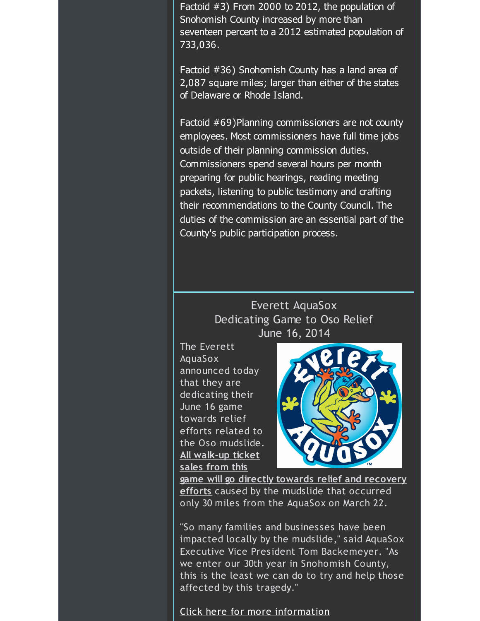Factoid #3) From 2000 to 2012, the population of Snohomish County increased by more than seventeen percent to a 2012 estimated population of 733,036.

Factoid #36) Snohomish County has a land area of 2,087 square miles; larger than either of the states of Delaware or Rhode Island.

Factoid #69)Planning commissioners are not county employees. Most commissioners have full time jobs outside of their planning commission duties. Commissioners spend several hours per month preparing for public hearings, reading meeting packets, listening to public testimony and crafting their recommendations to the County Council. The duties of the commission are an essential part of the County's public participation process.

# Everett AquaSox Dedicating Game to Oso Relief June 16, 2014

The Everett AquaSox announced today that they are dedicating their June 16 game towards relief efforts related to the Oso mudslide. **All walk-up ticket sales from this**



**game will go directly towards relief and recovery efforts** caused by the mudslide that occurred only 30 miles from the AquaSox on March 22.

"So many families and businesses have been impacted locally by the mudslide," said AquaSox Executive Vice President Tom Backemeyer. "As we enter our 30th year in Snohomish County, this is the least we can do to try and help those affected by this tragedy."

## Click here for more [information](http://r20.rs6.net/tn.jsp?f=001D0-aALKjKK4JY2LW-hphnd7o8aANhOu0C8rgp2sUiBqANePT5mJhIT_HMpyYz41MujA_NiGxzv8NUrhYkHHD1UN71VTW3XO1JPOB5k8TJYwVZisjief4P3LjPOdTjzFYyivrWHGP2gRiNIOpsUsNYn7V_WTBwbjdAgqGAnNZbUu1MC2fG2j1AYkMg-dIjliIyOhLmvTITOZ1FwLIuciNbjtzpuhgAaGNtPjHAwjKNG3FX1tXOwLqNN6-U2Xnw8MJTykgFNhhpFaUN6Fjs-KRCrdrRH3XHB_PIRhhmlqQO3YqgFCusIP6Dxx5rrRYPQhenJn0fwAFGOZKYUA_RA2EYxO7yW_S15nENrR2G_TDihnL7CqRmNfzsI6xeSZsR15wq3I-Asd7w4xUPMOSdpp_OCRQwKgWkgWp&c=&ch=)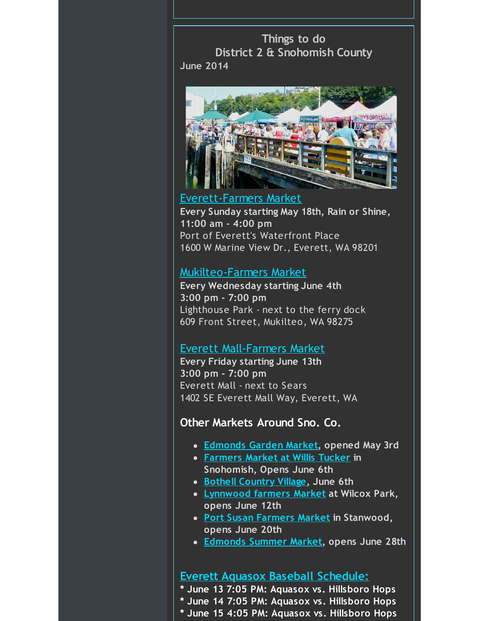**Things to do District 2 & Snohomish County June 2014**



#### [Everett-Farmers](http://r20.rs6.net/tn.jsp?f=001D0-aALKjKK4JY2LW-hphnd7o8aANhOu0C8rgp2sUiBqANePT5mJhIWBgiqyXS65GF_aclBmD15DuxXp8vFMzVI7qAXjzlP4vZF4kLYI-j9eUCY4IqpwpMCncTl9_Aub4mc3Ami8TmGBqvN0tgA28XhFRW4wukH0wnL-LKRNIF99i5GehtpYiQrETg_wQQGl5GEPMkMQiCJz-GHPwZqgaTShY8-HUUs7_2RX57OFMUEtT7Keo_WZLXKbVOiY3jUtoBh9HWG029Keq07-vNcuHZOwvNqZYOPmi&c=&ch=) Market

**Every Sunday starting May 18th, Rain or Shine, 11:00 am - 4:00 pm** Port of Everett's Waterfront Place 1600 W Marine View Dr., Everett, WA 98201

## [Mukilteo-Farmers](http://r20.rs6.net/tn.jsp?f=001D0-aALKjKK4JY2LW-hphnd7o8aANhOu0C8rgp2sUiBqANePT5mJhIWBgiqyXS65Guj-Clsg3eJ7JH8BQmvP3jFS6yo01xdlI_Ria1VCcuqdgLD7YFMSVC4QPGi4vkGnCNdtDDDVeadW90wB2c3xqiVnfkAtlA9aDBPTCG4rWvL_qA7t6a48Y9vFDAkg9TOjFhK7M2hpd9z4GcNE3eqR1-x2k3gVRBp7DNwMDoIuowzgpgKFaq5WdoCpSaQOZEyUKpQCPPM_eNrAqw9YRRvKoyEVNf3dkf2J4YSHKAwZ9kWY=&c=&ch=) Market

**Every Wednesday starting June 4th 3:00 pm - 7:00 pm** Lighthouse Park - next to the ferry dock 609 Front Street, Mukilteo, WA 98275

### Everett [Mall-Farmers](http://r20.rs6.net/tn.jsp?f=001D0-aALKjKK4JY2LW-hphnd7o8aANhOu0C8rgp2sUiBqANePT5mJhIWBgiqyXS65G4C5Coe1DIs6uS904v7U8hSlJFNwtot4PCLSpWS-n1UHBq0mA3CE4KNmC0msSI6JNpQlqUY5MhOYqVw6EWFM59D3DgFpNjM5CoZrMO7ewTTKkD-E1aKJvlI4gi2AxnyfqDCpoximFUfmxlZggEX5zSQiyRTlSJ8BR9zMR3nRqjlBxrLVZCS7wuCMEcX15cInILPWC0HrMr_EbWAxgh6kbJg2XQe8gfhb1aaNuvNAVd1Y=&c=&ch=) Market

**Every Friday starting June 13th 3:00 pm - 7:00 pm** Everett Mall - next to Sears 1402 SE Everett Mall Way, Everett, WA

### **Other Markets Around Sno. Co.**

- **[Edmonds](http://r20.rs6.net/tn.jsp?f=001D0-aALKjKK4JY2LW-hphnd7o8aANhOu0C8rgp2sUiBqANePT5mJhIWBgiqyXS65GymoxIzkeAjydk8AmxVKoZZnoLxXKl7KdUsVPTg_jLa8Zlymvf-orfiadgei-1n1XcSGnUUiZF6AgFmFrXZjzzJ17aTUPrjuJxuOACNLxFjLFtDI8VFx5LnLboiR8TRocTvVIwKWqyntWSHUR14N8JDfrzMXdrxVI6hr5q4EXayaMMQSyzfXp0bwp76um0SfNPCf0udH7cox9pVyl2UHMFQ1Udid-uJ0QlgA0FZQ7TUcuW2FpaEAQTbe8B_NH73-EnX-zll5hZY78OiDSySqi2A==&c=&ch=) Garden Market, opened May 3rd**
- **[Farmers](http://r20.rs6.net/tn.jsp?f=001D0-aALKjKK4JY2LW-hphnd7o8aANhOu0C8rgp2sUiBqANePT5mJhIWBgiqyXS65GenLdD135xNix5ZCO0XMpnXonUkpekdeIS2DfmJP3glz7GJhxFpmCF5qIzvnX4XdkbGRDrsUQzdjGwQgT124N9NmHw65NH2RmU2ahBIWCYtJB9DAWtttr4VGFGXPirUXRGeH9KkprFAzTFB1wb8ciVsRxX8QwTjoYWY-I72wwB8K29nosWh1-molshRix_2yzNqzyNwHJmuxeoH4Zy2H8EJ6hXgHvqHWw4bipOi5QFxTDnU_-nkU4K34ihwALT0kQr-jUxzAnW2at6ums9dAURL88T5rcnvBqnwHe3PK8UknThlw21dmtAg==&c=&ch=) Market at Willis Tucker in Snohomish, Opens June 6th**
- **Bothell [Country](http://r20.rs6.net/tn.jsp?f=001D0-aALKjKK4JY2LW-hphnd7o8aANhOu0C8rgp2sUiBqANePT5mJhIWBgiqyXS65GGYL1ITl5aVifq_Zc5DPS0Dcek8PDcPSNSwFn90HKfg-MaUDIXu4EVSAMXULk_XSXnHb9mjhHIt4xZ7M2tzpsSsBR2FQRTy3oSHyV_DqT1EVWSWVdHrfd297tKWrTTc4cMPwJLF-gChsMgMC4mUbcpm-GE7YbBkG21lOeYnNOs2lLylqAb1q3UlCoLk8hMsV5JYrxHd_zw43gw45stFpep1FLxf6HMtUT96tecf0wOgvNxsXmWjBmbdaLlwNSiKX746qg8jW6Ta9MKPNIXEA0s_Anux9QJY5eh-3QbumxZ4G9jnyFCbVWMw==&c=&ch=) Village, June 6th**
- **[Lynnwood](http://r20.rs6.net/tn.jsp?f=001D0-aALKjKK4JY2LW-hphnd7o8aANhOu0C8rgp2sUiBqANePT5mJhIWBgiqyXS65GA097kdjFgDVhGfZMltEylBhGnWwP-_2PkdBu0uBcO__32bNAop8PDDxJdmRfmbJcdvBDTNWz-1gqDzNaTziSTdH5141NYHf2zOYQF_fmNQGpQqP3eF_F9HviJ9l2gC4MfY4jfxCWSN6ItgJByuTqMlmWdIPOb8H9LJked1b97jrUaL8xLC6aEiWHPsA4U-8SfwUvVZW6AkV9XDZVFpEt0xbMmnjlAvrI&c=&ch=) farmers Market at Wilcox Park, opens June 12th**
- **Port Susan [Farmers](http://r20.rs6.net/tn.jsp?f=001D0-aALKjKK4JY2LW-hphnd7o8aANhOu0C8rgp2sUiBqANePT5mJhIWBgiqyXS65Gva_e8zUuKIHlyUJlDwZ71YJotrwNOaI-QWx0vNCmseWnbicekyL4b9b64gLGapfSDHqT3RZDo0ZveI944gxcvIg38CMrjotdwLh8aQSwg7yDHk2P3TdIuhi_wtGfxVffgQcG-fHyQsEjQ4unlk4HxbJaLjFXC-Mk7-wqdGL_ed_WL3sEmxdA321LrGs05VeW48j6F7lWIDyHlFp2vthqDAN_G9y_zH0-FWyICllQabFk2zTcr_pIRLoKrkNt1pScXE3aWLRmic6E0R5UuY1-qQi-aawhsFKRPyhI4LDYlrk=&c=&ch=) Market in Stanwood, opens June 20th**
- **[Edmonds](http://r20.rs6.net/tn.jsp?f=001D0-aALKjKK4JY2LW-hphnd7o8aANhOu0C8rgp2sUiBqANePT5mJhIWBgiqyXS65GorWhYqC1B8_oDHfAnADQXMQn7diEW-SwA_q3yFOaLRZnBnnCCY5H_PmRHMEkXKJvRI4XAbhsEOXjI-kjPjwS9E0fFTzPogIp8EvLHIxFp_WMHdj1xosrd0pKPP_0itE87hd7RtgryUDv2B36jU-lAcGFQ2B3cojmgna-F_jvYR7IXmMpUbhj2qy41vJknK3kgrx8jeX89k1R3efLvdZhiXCQhxNYb4WJUV-lHo6pKH4Y-vBZNe4MYTgsjFaIl-vV9znia1ayxTeTu_7BSeGfXjOvt5QqDmRu&c=&ch=) Summer Market, opens June 28th**

# **Everett Aquasox Baseball [Schedule:](http://r20.rs6.net/tn.jsp?f=001D0-aALKjKK4JY2LW-hphnd7o8aANhOu0C8rgp2sUiBqANePT5mJhIWBgiqyXS65G1fj-fbrQKd_OQWVF-n1-_d_kAfD7IaVPoY4QDb8qwuSL2LPn_9lsXizOqZdCElxybOV2a-hwxtc5DuE4yDARZuEgVvaH1B8UaLg5pqiwHDzpIiYvEe7hLXkHjDWWehQrP6d5uYherAZXAAGBcBSt8lveZrR_e-E3X2-1WaL7wO4x6pLVh30QcYmqUudLrrhd5iPOgOqSyhf8dWMHPrE2ioSr9rqMDMKsLbN1jDIr4nO1jsrVH_P2vvoZ56kyo4zXphwK3Augxeg=&c=&ch=)**

- **\* June 13 7:05 PM: Aquasox vs. Hillsboro Hops**
- **\* June 14 7:05 PM: Aquasox vs. Hillsboro Hops**
- **\* June 15 4:05 PM: Aquasox vs. Hillsboro Hops**